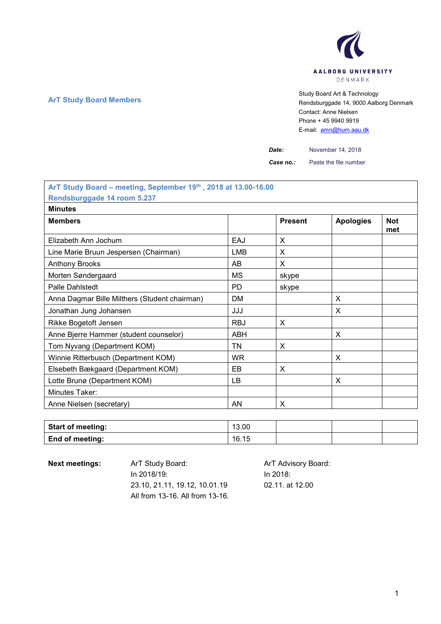

**ArT Study Board Members** Study Board Art & Technology **Art Study Board Art & Technology** Rendsburggade 14, 9000 Aalborg Denmark Contact: Anne Nielsen Phone + 45 9940 9919 E-mail: [amn@hum.aau.dk](mailto:amn@hum.aau.dk)

*Date:* November 14, 2018

**Case no.:** Paste the file number

| ArT Study Board - meeting, September 19th, 2018 at 13.00-16.00 |            |                |                  |                   |  |
|----------------------------------------------------------------|------------|----------------|------------------|-------------------|--|
| Rendsburggade 14 room 5.237                                    |            |                |                  |                   |  |
| <b>Minutes</b>                                                 |            |                |                  |                   |  |
| <b>Members</b>                                                 |            | <b>Present</b> | <b>Apologies</b> | <b>Not</b><br>met |  |
| Elizabeth Ann Jochum                                           | EAJ        | X              |                  |                   |  |
| Line Marie Bruun Jespersen (Chairman)                          | LMB        | X              |                  |                   |  |
| <b>Anthony Brooks</b>                                          | AB         | X              |                  |                   |  |
| Morten Søndergaard                                             | МS         | skype          |                  |                   |  |
| <b>Palle Dahlstedt</b>                                         | PD.        | skype          |                  |                   |  |
| Anna Dagmar Bille Milthers (Student chairman)                  | <b>DM</b>  |                | X                |                   |  |
| Jonathan Jung Johansen                                         | JJJ        |                | X                |                   |  |
| Rikke Bogetoft Jensen                                          | <b>RBJ</b> | X              |                  |                   |  |
| Anne Bjerre Hammer (student counselor)                         | ABH        |                | X                |                   |  |
| Tom Nyvang (Department KOM)                                    | <b>TN</b>  | X              |                  |                   |  |
| Winnie Ritterbusch (Department KOM)                            | <b>WR</b>  |                | X                |                   |  |
| Elsebeth Bækgaard (Department KOM)                             | EB         | X              |                  |                   |  |
| Lotte Brunø (Department KOM)                                   | LB         |                | X                |                   |  |
| Minutes Taker:                                                 |            |                |                  |                   |  |
| Anne Nielsen (secretary)                                       | AN         | X              |                  |                   |  |

| <b>Start of meeting:</b> | 13.00 |  |  |
|--------------------------|-------|--|--|
| <b>End of meeting:</b>   | 16.15 |  |  |

Next meetings: ArT Study Board: ArT Advisory Board: In 2018/19: 23.10, 21.11, 19.12, 10.01.19 All from 13-16. All from 13-16.

In 2018: 02.11. at 12.00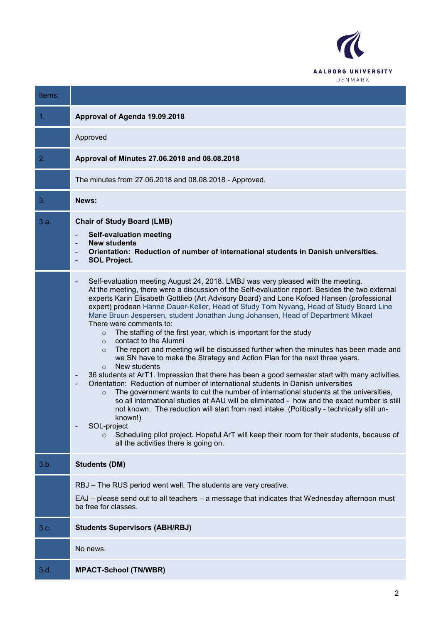

| Items: |                                                                                                                                                                                                                                                                                                                                                                                                                                                                                                                                                                                                                                                                                                                                                                                                                                                                                                                                                                                                                                                                                                                                                                                                                                                                                                                                                                                                                                                                                                                                                                                  |
|--------|----------------------------------------------------------------------------------------------------------------------------------------------------------------------------------------------------------------------------------------------------------------------------------------------------------------------------------------------------------------------------------------------------------------------------------------------------------------------------------------------------------------------------------------------------------------------------------------------------------------------------------------------------------------------------------------------------------------------------------------------------------------------------------------------------------------------------------------------------------------------------------------------------------------------------------------------------------------------------------------------------------------------------------------------------------------------------------------------------------------------------------------------------------------------------------------------------------------------------------------------------------------------------------------------------------------------------------------------------------------------------------------------------------------------------------------------------------------------------------------------------------------------------------------------------------------------------------|
| 1.     | Approval of Agenda 19.09.2018                                                                                                                                                                                                                                                                                                                                                                                                                                                                                                                                                                                                                                                                                                                                                                                                                                                                                                                                                                                                                                                                                                                                                                                                                                                                                                                                                                                                                                                                                                                                                    |
|        | Approved                                                                                                                                                                                                                                                                                                                                                                                                                                                                                                                                                                                                                                                                                                                                                                                                                                                                                                                                                                                                                                                                                                                                                                                                                                                                                                                                                                                                                                                                                                                                                                         |
| 2.     | Approval of Minutes 27.06.2018 and 08.08.2018                                                                                                                                                                                                                                                                                                                                                                                                                                                                                                                                                                                                                                                                                                                                                                                                                                                                                                                                                                                                                                                                                                                                                                                                                                                                                                                                                                                                                                                                                                                                    |
|        | The minutes from 27.06.2018 and 08.08.2018 - Approved.                                                                                                                                                                                                                                                                                                                                                                                                                                                                                                                                                                                                                                                                                                                                                                                                                                                                                                                                                                                                                                                                                                                                                                                                                                                                                                                                                                                                                                                                                                                           |
| 3.     | News:                                                                                                                                                                                                                                                                                                                                                                                                                                                                                                                                                                                                                                                                                                                                                                                                                                                                                                                                                                                                                                                                                                                                                                                                                                                                                                                                                                                                                                                                                                                                                                            |
| 3.a.   | <b>Chair of Study Board (LMB)</b><br><b>Self-evaluation meeting</b><br>$\overline{\phantom{a}}$<br><b>New students</b><br>$\overline{\phantom{a}}$<br>Orientation: Reduction of number of international students in Danish universities.<br>$\overline{\phantom{a}}$<br><b>SOL Project.</b><br>$\overline{\phantom{a}}$                                                                                                                                                                                                                                                                                                                                                                                                                                                                                                                                                                                                                                                                                                                                                                                                                                                                                                                                                                                                                                                                                                                                                                                                                                                          |
|        | Self-evaluation meeting August 24, 2018. LMBJ was very pleased with the meeting.<br>$\overline{\phantom{a}}$<br>At the meeting, there were a discussion of the Self-evaluation report. Besides the two external<br>experts Karin Elisabeth Gottlieb (Art Advisory Board) and Lone Kofoed Hansen (professional<br>expert) prodean Hanne Dauer-Keller, Head of Study Tom Nyvang, Head of Study Board Line<br>Marie Bruun Jespersen, student Jonathan Jung Johansen, Head of Department Mikael<br>There were comments to:<br>The staffing of the first year, which is important for the study<br>$\circ$<br>contact to the Alumni<br>$\Omega$<br>The report and meeting will be discussed further when the minutes has been made and<br>$\circ$<br>we SN have to make the Strategy and Action Plan for the next three years.<br>New students<br>$\Omega$<br>36 students at ArT1. Impression that there has been a good semester start with many activities.<br>$\overline{\phantom{a}}$<br>Orientation: Reduction of number of international students in Danish universities<br>$\overline{\phantom{a}}$<br>The government wants to cut the number of international students at the universities,<br>$\circ$<br>so all international studies at AAU will be eliminated - how and the exact number is still<br>not known. The reduction will start from next intake. (Politically - technically still un-<br>known!)<br>SOL-project<br>Scheduling pilot project. Hopeful ArT will keep their room for their students, because of<br>$\circ$<br>all the activities there is going on. |
| 3.b.   | <b>Students (DM)</b>                                                                                                                                                                                                                                                                                                                                                                                                                                                                                                                                                                                                                                                                                                                                                                                                                                                                                                                                                                                                                                                                                                                                                                                                                                                                                                                                                                                                                                                                                                                                                             |
|        | RBJ – The RUS period went well. The students are very creative.<br>EAJ – please send out to all teachers – a message that indicates that Wednesday afternoon must<br>be free for classes.                                                                                                                                                                                                                                                                                                                                                                                                                                                                                                                                                                                                                                                                                                                                                                                                                                                                                                                                                                                                                                                                                                                                                                                                                                                                                                                                                                                        |
| 3.c.   | <b>Students Supervisors (ABH/RBJ)</b>                                                                                                                                                                                                                                                                                                                                                                                                                                                                                                                                                                                                                                                                                                                                                                                                                                                                                                                                                                                                                                                                                                                                                                                                                                                                                                                                                                                                                                                                                                                                            |
|        | No news.                                                                                                                                                                                                                                                                                                                                                                                                                                                                                                                                                                                                                                                                                                                                                                                                                                                                                                                                                                                                                                                                                                                                                                                                                                                                                                                                                                                                                                                                                                                                                                         |
| 3.d.   | <b>MPACT-School (TN/WBR)</b>                                                                                                                                                                                                                                                                                                                                                                                                                                                                                                                                                                                                                                                                                                                                                                                                                                                                                                                                                                                                                                                                                                                                                                                                                                                                                                                                                                                                                                                                                                                                                     |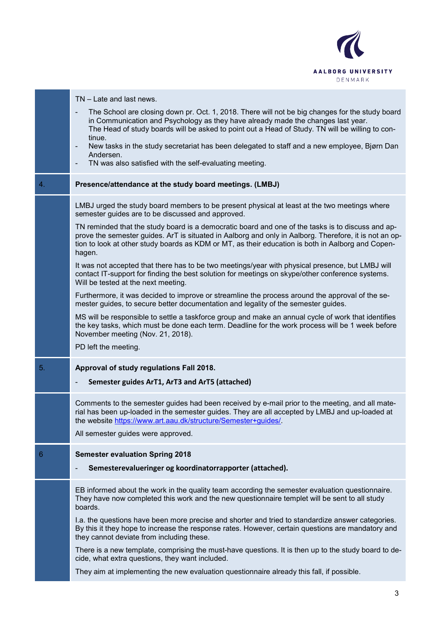

|                 | TN – Late and last news.                                                                                                                                                                                                                                                                                                     |
|-----------------|------------------------------------------------------------------------------------------------------------------------------------------------------------------------------------------------------------------------------------------------------------------------------------------------------------------------------|
|                 | The School are closing down pr. Oct. 1, 2018. There will not be big changes for the study board<br>$\overline{\phantom{a}}$<br>in Communication and Psychology as they have already made the changes last year.<br>The Head of study boards will be asked to point out a Head of Study. TN will be willing to con-<br>tinue. |
|                 | New tasks in the study secretariat has been delegated to staff and a new employee, Bjørn Dan<br>Andersen.                                                                                                                                                                                                                    |
|                 | TN was also satisfied with the self-evaluating meeting.<br>$\overline{\phantom{a}}$                                                                                                                                                                                                                                          |
| 4.              | Presence/attendance at the study board meetings. (LMBJ)                                                                                                                                                                                                                                                                      |
|                 | LMBJ urged the study board members to be present physical at least at the two meetings where<br>semester guides are to be discussed and approved.                                                                                                                                                                            |
|                 | TN reminded that the study board is a democratic board and one of the tasks is to discuss and ap-<br>prove the semester guides. ArT is situated in Aalborg and only in Aalborg. Therefore, it is not an op-<br>tion to look at other study boards as KDM or MT, as their education is both in Aalborg and Copen-<br>hagen.   |
|                 | It was not accepted that there has to be two meetings/year with physical presence, but LMBJ will<br>contact IT-support for finding the best solution for meetings on skype/other conference systems.<br>Will be tested at the next meeting.                                                                                  |
|                 | Furthermore, it was decided to improve or streamline the process around the approval of the se-<br>mester guides, to secure better documentation and legality of the semester guides.                                                                                                                                        |
|                 | MS will be responsible to settle a taskforce group and make an annual cycle of work that identifies<br>the key tasks, which must be done each term. Deadline for the work process will be 1 week before<br>November meeting (Nov. 21, 2018).                                                                                 |
|                 | PD left the meeting.                                                                                                                                                                                                                                                                                                         |
| 5.              | Approval of study regulations Fall 2018.                                                                                                                                                                                                                                                                                     |
|                 | Semester guides ArT1, ArT3 and ArT5 (attached)                                                                                                                                                                                                                                                                               |
|                 | Comments to the semester guides had been received by e-mail prior to the meeting, and all mate-<br>rial has been up-loaded in the semester guides. They are all accepted by LMBJ and up-loaded at<br>the website https://www.art.aau.dk/structure/Semester+guides/.                                                          |
|                 | All semester guides were approved.                                                                                                                                                                                                                                                                                           |
| $6\phantom{1}6$ | <b>Semester evaluation Spring 2018</b>                                                                                                                                                                                                                                                                                       |
|                 | Semesterevalueringer og koordinatorrapporter (attached).                                                                                                                                                                                                                                                                     |
|                 | EB informed about the work in the quality team according the semester evaluation questionnaire.<br>They have now completed this work and the new questionnaire templet will be sent to all study<br>boards.                                                                                                                  |
|                 | I.a. the questions have been more precise and shorter and tried to standardize answer categories.<br>By this it they hope to increase the response rates. However, certain questions are mandatory and<br>they cannot deviate from including these.                                                                          |
|                 | There is a new template, comprising the must-have questions. It is then up to the study board to de-<br>cide, what extra questions, they want included.                                                                                                                                                                      |
|                 | They aim at implementing the new evaluation questionnaire already this fall, if possible.                                                                                                                                                                                                                                    |